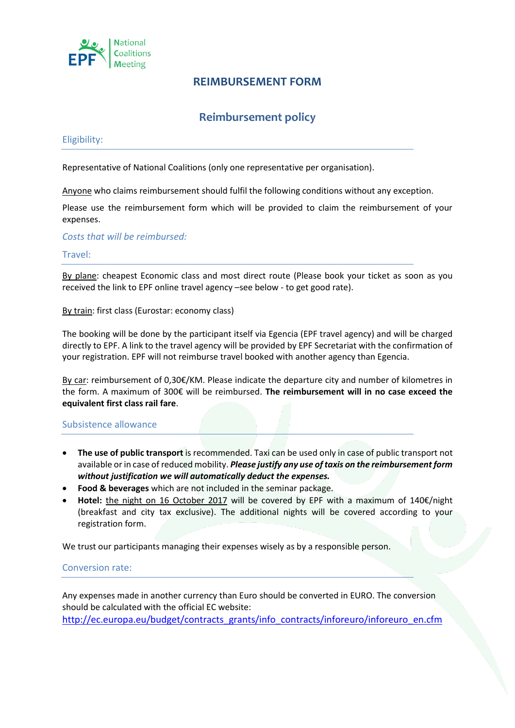

## **REIMBURSEMENT FORM**

# **Reimbursement policy**

#### Eligibility:

Representative of National Coalitions (only one representative per organisation).

Anyone who claims reimbursement should fulfil the following conditions without any exception.

Please use the reimbursement form which will be provided to claim the reimbursement of your expenses.

*Costs that will be reimbursed:*

#### Travel:

By plane: cheapest Economic class and most direct route (Please book your ticket as soon as you received the link to EPF online travel agency –see below - to get good rate).

By train: first class (Eurostar: economy class)

The booking will be done by the participant itself via Egencia (EPF travel agency) and will be charged directly to EPF. A link to the travel agency will be provided by EPF Secretariat with the confirmation of your registration. EPF will not reimburse travel booked with another agency than Egencia.

By car: reimbursement of 0,30€/KM. Please indicate the departure city and number of kilometres in the form. A maximum of 300€ will be reimbursed. **The reimbursement will in no case exceed the equivalent first class rail fare**.

#### Subsistence allowance

- **The use of public transport** is recommended. Taxi can be used only in case of public transport not available or in case of reduced mobility. *Please justify any use of taxis on the reimbursement form without justification we will automatically deduct the expenses.*
- **Food & beverages** which are not included in the seminar package.
- **Hotel:** the night on 16 October 2017 will be covered by EPF with a maximum of 140€/night (breakfast and city tax exclusive). The additional nights will be covered according to your registration form.

We trust our participants managing their expenses wisely as by a responsible person.

## Conversion rate:

Any expenses made in another currency than Euro should be converted in EURO. The conversion should be calculated with the official EC website: [http://ec.europa.eu/budget/contracts\\_grants/info\\_contracts/inforeuro/inforeuro\\_en.cfm](http://ec.europa.eu/budget/contracts_grants/info_contracts/inforeuro/inforeuro_en.cfm)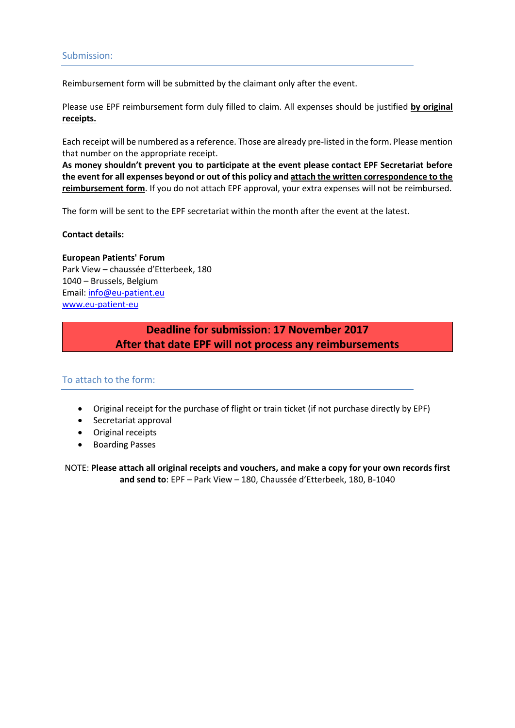Reimbursement form will be submitted by the claimant only after the event.

Please use EPF reimbursement form duly filled to claim. All expenses should be justified **by original receipts.** 

Each receipt will be numbered as a reference. Those are already pre-listed in the form. Please mention that number on the appropriate receipt.

**As money shouldn't prevent you to participate at the event please contact EPF Secretariat before the event for all expenses beyond or out of this policy and attach the written correspondence to the reimbursement form**. If you do not attach EPF approval, your extra expenses will not be reimbursed.

The form will be sent to the EPF secretariat within the month after the event at the latest.

**Contact details:**

**European Patients' Forum** Park View – chaussée d'Etterbeek, 180 1040 – Brussels, Belgium Email: [info@eu-patient.eu](mailto:info@eu-patient.eu) [www.eu-patient-eu](http://www.eu-patient-eu/)

> **Deadline for submission**: **17 November 2017 After that date EPF will not process any reimbursements**

## To attach to the form:

- Original receipt for the purchase of flight or train ticket (if not purchase directly by EPF)
- Secretariat approval
- Original receipts
- Boarding Passes

NOTE: **Please attach all original receipts and vouchers, and make a copy for your own records first and send to**: EPF – Park View – 180, Chaussée d'Etterbeek, 180, B-1040